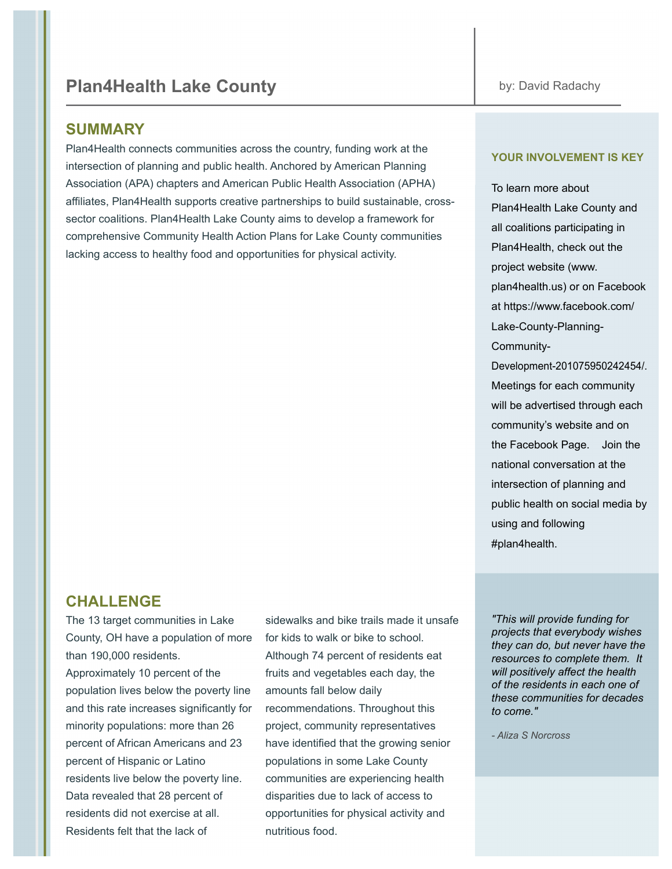# **Plan4Health Lake County by: David Radachy**

### **SUMMARY**

Plan4Health connects communities across the country, funding work at the intersection of planning and public health. Anchored by American Planning Association (APA) chapters and American Public Health Association (APHA) affiliates, Plan4Health supports creative partnerships to build sustainable, crosssector coalitions. Plan4Health Lake County aims to develop a framework for comprehensive Community Health Action Plans for Lake County communities lacking access to healthy food and opportunities for physical activity.

# **CHALLENGE**

The 13 target communities in Lake County, OH have a population of more than 190,000 residents.

Approximately 10 percent of the population lives below the poverty line and this rate increases significantly for minority populations: more than 26 percent of African Americans and 23 percent of Hispanic or Latino residents live below the poverty line. Data revealed that 28 percent of residents did not exercise at all. Residents felt that the lack of

sidewalks and bike trails made it unsafe for kids to walk or bike to school. Although 74 percent of residents eat fruits and vegetables each day, the amounts fall below daily recommendations. Throughout this project, community representatives have identified that the growing senior populations in some Lake County communities are experiencing health disparities due to lack of access to opportunities for physical activity and nutritious food.

#plan4health.

#### **YOUR INVOLVEMENT IS KEY**

To learn more about Plan4Health Lake County and all coalitions participating in Plan4Health, check out the project website (www. plan4health.us) or on Facebook at https://www.facebook.com/ Lake-County-Planning-Community-Development-201075950242454/. Meetings for each community will be advertised through each community's website and on the Facebook Page. Join the national conversation at the intersection of planning and public health on social media by using and following

*"This will provide funding for projects that everybody wishes they can do, but never have the resources to complete them. It will positively affect the health of the residents in each one of these communities for decades to come."*

- avid adachy, irector, a e **bunty lanning by ommunity** *'evelopment*